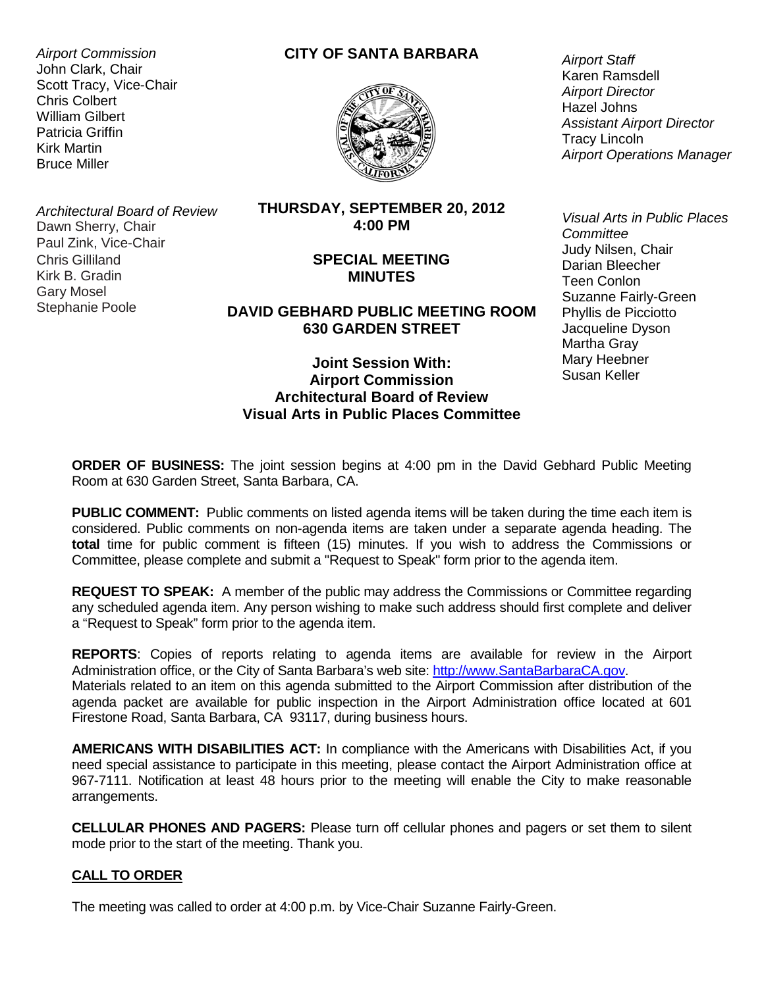*Airport Commission* John Clark, Chair Scott Tracy, Vice-Chair Chris Colbert William Gilbert Patricia Griffin Kirk Martin Bruce Miller

# **CITY OF SANTA BARBARA**



*Architectural Board of Review* Dawn Sherry, Chair Paul Zink, Vice-Chair Chris Gilliland Kirk B. Gradin Gary Mosel Stephanie Poole

### **THURSDAY, SEPTEMBER 20, 2012 4:00 PM**

## **SPECIAL MEETING MINUTES**

# **DAVID GEBHARD PUBLIC MEETING ROOM 630 GARDEN STREET**

## **Joint Session With: Airport Commission Architectural Board of Review Visual Arts in Public Places Committee**

*Airport Staff* Karen Ramsdell *Airport Director* Hazel Johns *Assistant Airport Director* Tracy Lincoln *Airport Operations Manager*

*Visual Arts in Public Places Committee* Judy Nilsen, Chair Darian Bleecher Teen Conlon Suzanne Fairly-Green Phyllis de Picciotto Jacqueline Dyson Martha Gray Mary Heebner Susan Keller

**ORDER OF BUSINESS:** The joint session begins at 4:00 pm in the David Gebhard Public Meeting Room at 630 Garden Street, Santa Barbara, CA.

**PUBLIC COMMENT:** Public comments on listed agenda items will be taken during the time each item is considered. Public comments on non-agenda items are taken under a separate agenda heading. The **total** time for public comment is fifteen (15) minutes. If you wish to address the Commissions or Committee, please complete and submit a "Request to Speak" form prior to the agenda item.

**REQUEST TO SPEAK:** A member of the public may address the Commissions or Committee regarding any scheduled agenda item. Any person wishing to make such address should first complete and deliver a "Request to Speak" form prior to the agenda item.

**REPORTS**: Copies of reports relating to agenda items are available for review in the Airport Administration office, or the City of Santa Barbara's web site: [http://www.SantaBarbaraCA.gov.](http://www.ci.santa-barbara.ca.us/)

Materials related to an item on this agenda submitted to the Airport Commission after distribution of the agenda packet are available for public inspection in the Airport Administration office located at 601 Firestone Road, Santa Barbara, CA 93117, during business hours.

**AMERICANS WITH DISABILITIES ACT:** In compliance with the Americans with Disabilities Act, if you need special assistance to participate in this meeting, please contact the Airport Administration office at 967-7111. Notification at least 48 hours prior to the meeting will enable the City to make reasonable arrangements.

**CELLULAR PHONES AND PAGERS:** Please turn off cellular phones and pagers or set them to silent mode prior to the start of the meeting. Thank you.

## **CALL TO ORDER**

The meeting was called to order at 4:00 p.m. by Vice-Chair Suzanne Fairly-Green.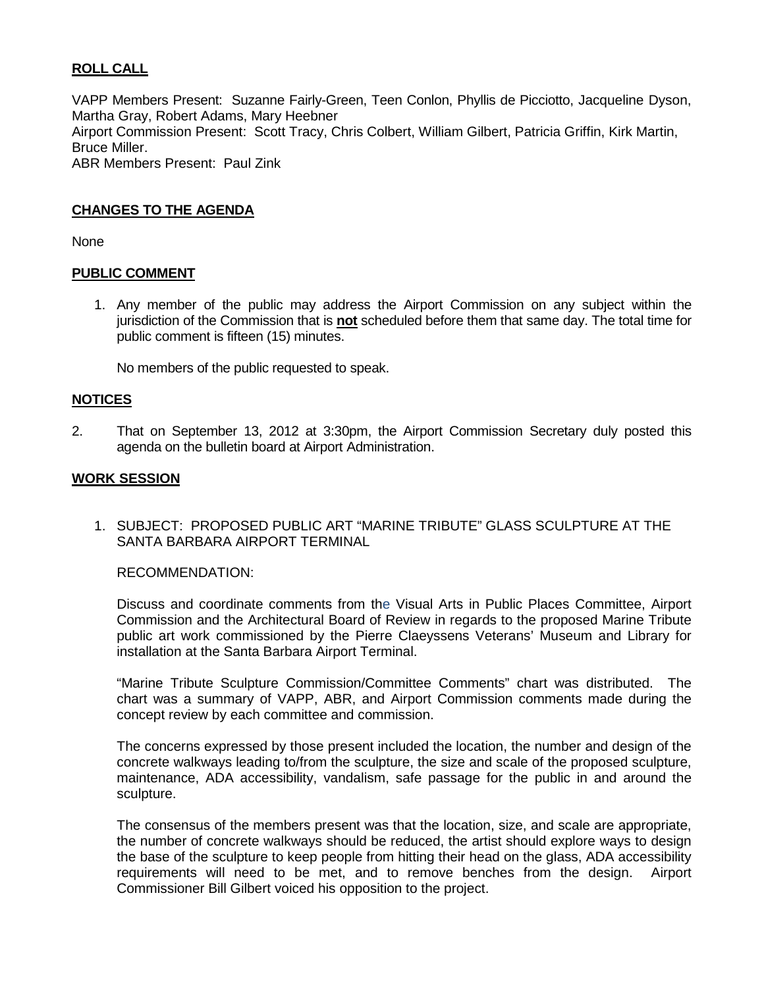# **ROLL CALL**

VAPP Members Present: Suzanne Fairly-Green, Teen Conlon, Phyllis de Picciotto, Jacqueline Dyson, Martha Gray, Robert Adams, Mary Heebner Airport Commission Present: Scott Tracy, Chris Colbert, William Gilbert, Patricia Griffin, Kirk Martin, Bruce Miller. ABR Members Present: Paul Zink

### **CHANGES TO THE AGENDA**

None

### **PUBLIC COMMENT**

1. Any member of the public may address the Airport Commission on any subject within the jurisdiction of the Commission that is **not** scheduled before them that same day. The total time for public comment is fifteen (15) minutes.

No members of the public requested to speak.

#### **NOTICES**

2. That on September 13, 2012 at 3:30pm, the Airport Commission Secretary duly posted this agenda on the bulletin board at Airport Administration.

#### **WORK SESSION**

1. SUBJECT: PROPOSED PUBLIC ART "MARINE TRIBUTE" GLASS SCULPTURE AT THE SANTA BARBARA AIRPORT TERMINAL

RECOMMENDATION:

Discuss and coordinate comments from the Visual Arts in Public Places Committee, Airport Commission and the Architectural Board of Review in regards to the proposed Marine Tribute public art work commissioned by the Pierre Claeyssens Veterans' Museum and Library for installation at the Santa Barbara Airport Terminal.

"Marine Tribute Sculpture Commission/Committee Comments" chart was distributed. The chart was a summary of VAPP, ABR, and Airport Commission comments made during the concept review by each committee and commission.

The concerns expressed by those present included the location, the number and design of the concrete walkways leading to/from the sculpture, the size and scale of the proposed sculpture, maintenance, ADA accessibility, vandalism, safe passage for the public in and around the sculpture.

The consensus of the members present was that the location, size, and scale are appropriate, the number of concrete walkways should be reduced, the artist should explore ways to design the base of the sculpture to keep people from hitting their head on the glass, ADA accessibility requirements will need to be met, and to remove benches from the design. Airport Commissioner Bill Gilbert voiced his opposition to the project.